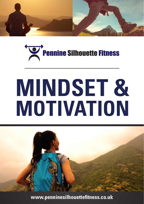



# **MINDSET & MOTIVATION**



**[www.penninesilhouettefitness.co.uk](http://www.penninesilhouettefitness.co.uk)**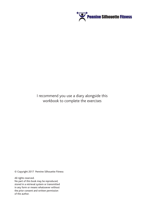

#### I recommend you use a diary alongside this workbook to complete the exercises

© Copyright 2017 Pennine Silhouette Fitness

All rights reserved. No part of this book may be reproduced, stored in a retrieval system or transmitted in any form or means whatsoever without the prior consent and written permission of the author.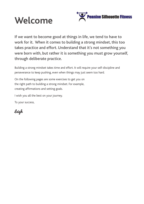



If we want to become good at things in life, we tend to have to work for it. When it comes to building a strong mindset, this too takes practice and effort. Understand that it's not something you were born with, but rather it is something you must grow yourself, through deliberate practice.

Building a strong mindset takes time and effort. It will require your self-discipline and perseverance to keep pushing, even when things may just seem too hard.

On the following pages are some exercises to get you on the right path to building a strong mindset. For example, creating affirmations and setting goals.

I wish you all the best on your journey.

To your success,

Leigh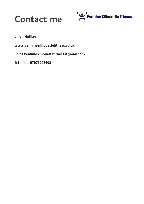



#### **Leigh Helliwell**

**[www.penninesilhouettefitness.co.uk](http://www.penninesilhouettefitness.co.uk)**

Email **Penninesilhouettefitness@gmail.com**

Tel Leigh: **07979006402**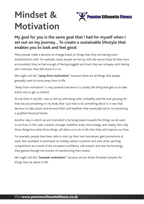# **Mindset & Motivation**



#### **My goal for you is the same goal that I had for myself when I set out on my journey… To create a sustainable lifestyle that enables you to look and feel good.**

Many people make a decision to change based on things that they are having some dissatisfaction with. For example, many people are fed up with the excess body fat they have accumulated, they've had enough of feeling sluggish and tired, they are unhappy with feeling self-conscious, they feel stuck in a rut.

We might call this **"away from motivation"**, because these are all things that people generally want to move away from in life.

"Away from motivation" is very powerful because it is usually the thing that gets us to take action and to get us started.

At one time in my life, I was so fed up with being unfit, unhealthy and the ever-growing fat that was accumulating on my body that I just had to do something about it. It was that decision to take action and become fitter and healthier that eventually led to me becoming a qualified Personal Trainer.

Another way in which we are motivated is by being drawn towards the things we do want in our lives. In this case, a leaner, stronger, healthier body, more energy and vitality. Not only those things but what those things will allow us to do in life, how they will improve our lives.

For example, people have been able to start up their own businesses, gain promotions at work, feel confident in swimwear on holiday, attract a partner and even enter sporting competitions as a result of the increased confidence, self-esteem and new found energy they gained through the process of transforming their bodies.

We might call this **"towards motivation"**, because we are driven forwards towards the things that we desire in life.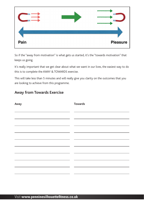

So if the "away from motivation" is what gets us started, it's the "towards motivation" that keeps us going.

It's really important that we get clear about what we want in our lives, the easiest way to do this is to complete the AWAY & TOWARDS exercise.

This will take less than 5 minutes and will really give you clarity on the outcomes that you are looking to achieve from this programme.

#### **Away from Towards Exercise**

| Away | <b>Towards</b> |
|------|----------------|
|      |                |
|      |                |
|      |                |
|      |                |
|      |                |
|      |                |
|      |                |
|      |                |
|      |                |
|      |                |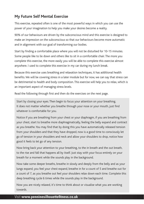#### **My Future Self Mental Exercise**

This exercise, repeated often is one of the most powerful ways in which you can use the power of your imagination to help you make your desires become a reality.

90% of our behaviours are driven by the subconscious mind and this exercise is designed to make an impression on the subconscious so that our behaviours become more automatic and in alignment with our goal of transforming our bodies.

Start by finding a comfortable place where you will not be disturbed for 10-15 minutes. Some people like to lie down and others like to sit in a comfortable chair. The more you complete this exercise, the more easily you will be able to complete this exercise almost anywhere. I used to complete this exercise in my car during my lunch break.

Because this exercise uses breathing and relaxation techniques, it has additional health benefits. We will be covering stress in a later module but for now, we can say that stress can be detrimental to health and body composition. This exercise will help you to relax, which is an important aspect of managing stress levels.

Read the following through first and then do the exercises on the next page.

Start by closing your eyes. Then begin to focus your attention on your breathing. It does not matter whether you breathe through your nose or your mouth, just find whatever is comfortable for you.

Notice if you are breathing from your chest or your diaphragm, if you are breathing from your chest, start to breathe more diaphragmatically, feeling the belly expand and contract as you breathe. You may find that by doing this you have automatically released tension from your shoulders and that they have dropped, now is a good time to consciously let go of tension in your shoulders and neck and allow your shoulders to drop, notice how good it feels to let go of any tension.

Now bring back your attention to your breathing, to the in breath and the out breath, to the rise and fall that happens all by itself. Just stay with your focus entirely on your breath for a moment while the sounds play in the background.

Now take some deeper breaths, breathe in slowly and deeply from the belly and as your lungs expand, you feel your chest expand, breathe in for a count of 5 and breathe out for a count of 7, as you breathe out feel your shoulders relax down each time. Complete this deep breathing cycle 6 times while the sounds play in the background.

Now you are nicely relaxed, it's time to think about or visualise what you are working towards.

#### **tel** Visit **[www.penninesilhouettefitness.co.uk](http://www.penninesilhouettefitness.co.uk)**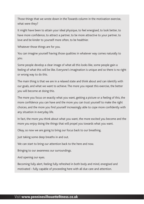Those things that we wrote down in the Towards column in the motivation exercise, what were they?

It might have been to attain your ideal physique, to feel energised, to look better, to have more confidence, to attract a partner, to be more attractive to your partner, to love and be kinder to yourself more often, to be healthier.

Whatever those things are for you.

You can imagine yourself having those qualities in whatever way comes naturally to you.

Some people develop a clear image of what all this looks like, some people gain a feeling of what this will be like. Everyone's imagination is unique and so there is no right or wrong way to do this.

The main thing is that we are in a relaxed state and think about and can identify with our goals, and what we want to achieve. The more you repeat this exercise, the better you will become at doing this.

The more you focus on exactly what you want, getting a picture or a feeling of this, the more confidence you can have and the more you can trust yourself to make the right choices, and the more you find yourself increasingly able to cope more confidently with any situation in everyday life.

In fact, the more you think about what you want, the more excited you become and the more you enjoy doing the things that will propel you towards what you want.

Okay, so now we are going to bring our focus back to our breathing.

Just taking some deep breaths in and out.

We can start to bring our attention back to the here and now.

Bringing to our awareness our surroundings.

And opening our eyes.

Becoming fully alert, feeling fully refreshed in both body and mind, energised and motivated - fully capable of proceeding here with all due care and attention.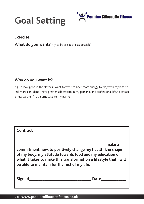



#### **Exercise:**

**What do you want?** (try to be as specific as possible)

#### **Why do you want it?**

e.g. To look good in the clothes I want to wear, to have more energy to play with my kids, to feel more confident / have greater self esteem in my personal and professional life, to attract a new partner / to be attractive to my partner

| <b>Contract</b>                              |                                                                                                                                                                                                      |
|----------------------------------------------|------------------------------------------------------------------------------------------------------------------------------------------------------------------------------------------------------|
| be able to maintain for the rest of my life. | make a<br>commitment now, to positively change my health, the shape<br>of my body, my attitude towards food and my education of<br>what it takes to make this transformation a lifestyle that I will |
| Signed                                       |                                                                                                                                                                                                      |

#### **tel** Visit **[www.penninesilhouettefitness.co.uk](http://www.penninesilhouettefitness.co.uk)**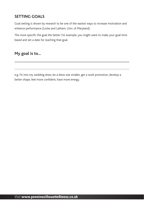#### **SETTING GOALS**

Goal setting is shown by research to be one of the easiest ways to increase motivation and enhance performance (Locke and Latham, Univ. of Maryland).

The more specific the goal the better. For example, you might want to make your goal time based and set a date for reaching that goal.

#### **My goal is to...**

e.g. Fit into my wedding dress, be a dress size smaller, get a work promotion, develop a better shape, feel more confident, have more energy.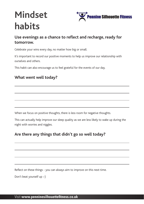## **Mindset habits**



#### **Use evenings as a chance to reflect and recharge, ready for tomorrow.**

Celebrate your wins every day, no matter how big or small.

It's important to record our positive moments to help us improve our relationship with ourselves and others.

This habit can also encourage us to feel grateful for the events of our day.

#### **What went well today?**

When we focus on positive thoughts, there is less room for negative thoughts.

This can actually help improve our sleep quality as we are less likely to wake up during the night with worries and niggles.

#### **Are there any things that didn't go so well today?**

Reflect on these things - you can always aim to improve on this next time.

Don't beat yourself up :-)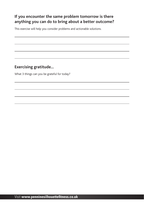#### **If you encounter the same problem tomorrow is there anything you can do to bring about a better outcome?**

This exercise will help you consider problems and actionable solutions.

#### **Exercising gratitude...**

What 3 things can you be grateful for today?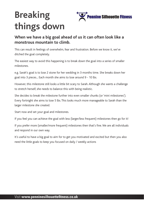## **Breaking ennine Silhouette Fitness things down**

#### **When we have a big goal ahead of us it can often look like a monstrous mountain to climb.**

This can result in feelings of overwhelm, fear and frustration. Before we know it, we've ditched the goal completely.

The easiest way to avoid this happening is to break down the goal into a series of smaller milestones.

e.g. Sarah's goal is to lose 2 stone for her wedding in 3 months time. She breaks down her goal into 3 pieces... Each month she aims to lose around 9 - 10 lbs.

However, this milestone still looks a little bit scary to Sarah. Although she wants a challenge to stretch herself, she needs to balance this with being realistic.

She decides to break the milestone further into even smaller chunks (or 'mini milestones'). Every fortnight she aims to lose 5 lbs. This looks much more manageable to Sarah than the larger milestone she created.

Start now and set your goal and milestones.

If you feel you can achieve the goal with less (larger/less frequent) milestones then go for it!

If you prefer more (smaller/more frequent) milestones then that's fine. We are all individuals and respond in our own way.

It's useful to have a big goal to aim for to get you motivated and excited but then you also need the little goals to keep you focused on daily / weekly actions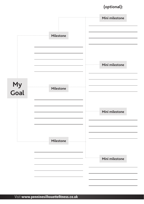### **(optional):**

|            |           | Mini milestone |
|------------|-----------|----------------|
|            | Milestone |                |
|            |           | Mini milestone |
| My<br>Goal | Milestone |                |
|            |           | Mini milestone |
|            | Milestone |                |
|            |           | Mini milestone |
|            |           |                |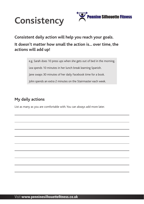



**Consistent daily action will help you reach your goals.** 

#### **It doesn't matter how small the action is... over time, the actions will add up!**

e.g. Sarah does 10 press ups when she gets out of bed in the morning.

Lea spends 10 minutes in her lunch break learning Spanish.

Jane swaps 30 minutes of her daily Facebook time for a book.

John spends an extra 2 minutes on the Stairmaster each week.

#### **My daily actions**

List as many as you are comfortable with. You can always add more later.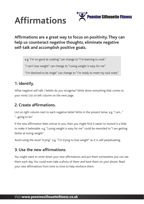



#### **Affirmations are a great way to focus on positivity. They can help us counteract negative thoughts, eliminate negative self-talk and accomplish positive goals.**

e.g. 'I'm no good at cooking" can change to "I'm learning to cook"

"I can't lose weight" can change to "Losing weight is easy for me"

"I'm destined to be single" can change to "I'm ready to meet my soul mate"

#### **1. Identify.**

What negative self talk / beliefs do you recognise? Write down everything that comes to your mind. List on left column on the next page.

#### **2. Create affirmations.**

List on right column next to each negative belief. Write in the present tense. e.g. "I am..." "...going to be"

If the new affirmation feels untrue to you, then you might find it easier to reword it a little to make it believable. e.g. "Losing weight is easy for me" could be reworded to "I am getting better at losing weight"

Avoid using the word "trying". e.g. "I'm trying to lose weight" as it is self-perpetuating.

#### **3. Use the new affirmations.**

You might want to write down your new affirmations and put them somewhere you can see them each day. You could even take a photo of them and have them on your phone. Read your new affirmations from time to time to help reinforce them.